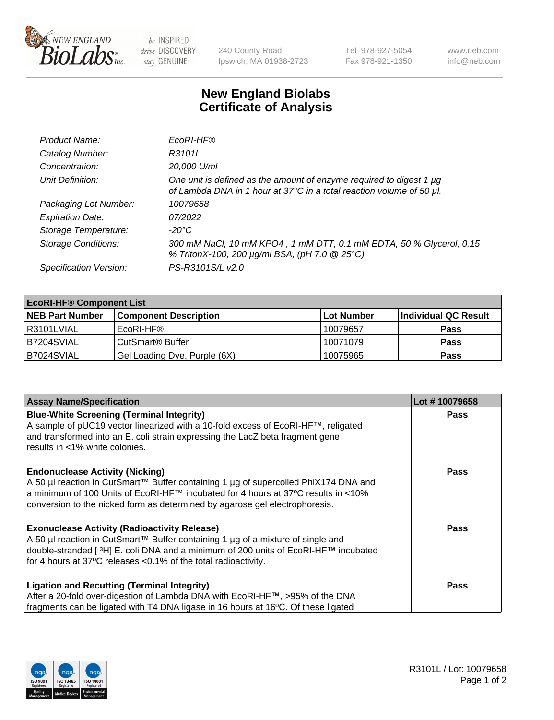

 $be$  INSPIRED drive DISCOVERY stay GENUINE

240 County Road Ipswich, MA 01938-2723 Tel 978-927-5054 Fax 978-921-1350 www.neb.com info@neb.com

## **New England Biolabs Certificate of Analysis**

| Product Name:              | EcoRI-HF®                                                                                                                                   |
|----------------------------|---------------------------------------------------------------------------------------------------------------------------------------------|
| Catalog Number:            | R3101L                                                                                                                                      |
| Concentration:             | 20,000 U/ml                                                                                                                                 |
| Unit Definition:           | One unit is defined as the amount of enzyme required to digest 1 µg<br>of Lambda DNA in 1 hour at 37°C in a total reaction volume of 50 µl. |
| Packaging Lot Number:      | 10079658                                                                                                                                    |
| <b>Expiration Date:</b>    | 07/2022                                                                                                                                     |
| Storage Temperature:       | -20°C                                                                                                                                       |
| <b>Storage Conditions:</b> | 300 mM NaCl, 10 mM KPO4, 1 mM DTT, 0.1 mM EDTA, 50 % Glycerol, 0.15<br>% TritonX-100, 200 µg/ml BSA, (pH 7.0 @ 25°C)                        |
| Specification Version:     | PS-R3101S/L v2.0                                                                                                                            |

| <b>EcoRI-HF® Component List</b> |                              |            |                      |  |  |
|---------------------------------|------------------------------|------------|----------------------|--|--|
| <b>NEB Part Number</b>          | <b>Component Description</b> | Lot Number | Individual QC Result |  |  |
| I R3101LVIAL                    | EcoRI-HF®                    | 10079657   | <b>Pass</b>          |  |  |
| B7204SVIAL                      | CutSmart <sup>®</sup> Buffer | 10071079   | <b>Pass</b>          |  |  |
| B7024SVIAL                      | Gel Loading Dye, Purple (6X) | 10075965   | <b>Pass</b>          |  |  |

| <b>Assay Name/Specification</b>                                                                 | Lot #10079658 |
|-------------------------------------------------------------------------------------------------|---------------|
| <b>Blue-White Screening (Terminal Integrity)</b>                                                | <b>Pass</b>   |
| A sample of pUC19 vector linearized with a 10-fold excess of EcoRI-HF™, religated               |               |
| and transformed into an E. coli strain expressing the LacZ beta fragment gene                   |               |
| results in <1% white colonies.                                                                  |               |
| <b>Endonuclease Activity (Nicking)</b>                                                          | Pass          |
| A 50 µl reaction in CutSmart™ Buffer containing 1 µg of supercoiled PhiX174 DNA and             |               |
| a minimum of 100 Units of EcoRI-HF™ incubated for 4 hours at 37°C results in <10%               |               |
| conversion to the nicked form as determined by agarose gel electrophoresis.                     |               |
| <b>Exonuclease Activity (Radioactivity Release)</b>                                             | <b>Pass</b>   |
| A 50 µl reaction in CutSmart™ Buffer containing 1 µg of a mixture of single and                 |               |
| double-stranded [ <sup>3</sup> H] E. coli DNA and a minimum of 200 units of EcoRI-HF™ incubated |               |
| for 4 hours at 37°C releases < 0.1% of the total radioactivity.                                 |               |
| <b>Ligation and Recutting (Terminal Integrity)</b>                                              | <b>Pass</b>   |
| After a 20-fold over-digestion of Lambda DNA with EcoRI-HF™, >95% of the DNA                    |               |
| fragments can be ligated with T4 DNA ligase in 16 hours at 16°C. Of these ligated               |               |